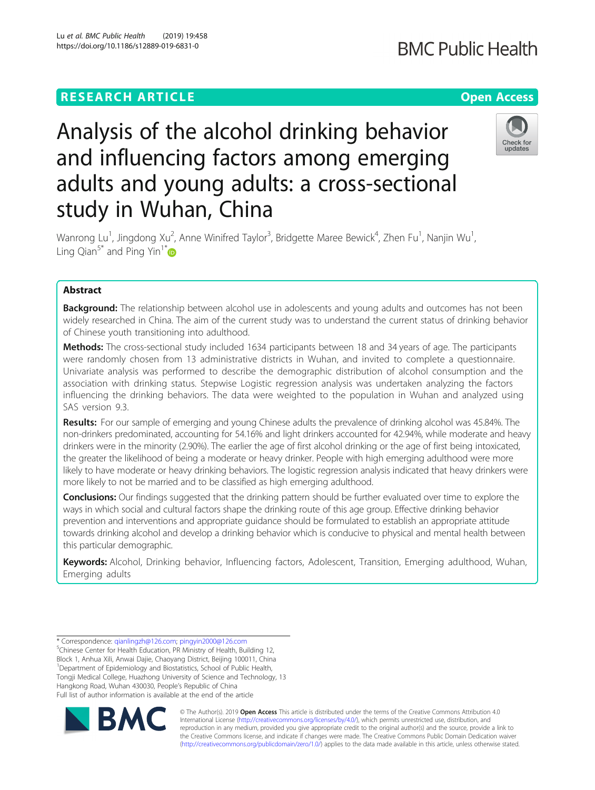# **RESEARCH ARTICLE Example 2018 12:30 THE Open Access**

# **BMC Public Health**

# Analysis of the alcohol drinking behavior and influencing factors among emerging adults and young adults: a cross-sectional study in Wuhan, China



Wanrong Lu<sup>1</sup>, Jingdong Xu<sup>2</sup>, Anne Winifred Taylor<sup>3</sup>, Bridgette Maree Bewick<sup>4</sup>, Zhen Fu<sup>1</sup>, Nanjin Wu<sup>1</sup> , Ling Qian<sup>5\*</sup> and Ping Yin<sup>1\*</sup>

# Abstract

**Background:** The relationship between alcohol use in adolescents and young adults and outcomes has not been widely researched in China. The aim of the current study was to understand the current status of drinking behavior of Chinese youth transitioning into adulthood.

Methods: The cross-sectional study included 1634 participants between 18 and 34 years of age. The participants were randomly chosen from 13 administrative districts in Wuhan, and invited to complete a questionnaire. Univariate analysis was performed to describe the demographic distribution of alcohol consumption and the association with drinking status. Stepwise Logistic regression analysis was undertaken analyzing the factors influencing the drinking behaviors. The data were weighted to the population in Wuhan and analyzed using SAS version 9.3.

Results: For our sample of emerging and young Chinese adults the prevalence of drinking alcohol was 45.84%. The non-drinkers predominated, accounting for 54.16% and light drinkers accounted for 42.94%, while moderate and heavy drinkers were in the minority (2.90%). The earlier the age of first alcohol drinking or the age of first being intoxicated, the greater the likelihood of being a moderate or heavy drinker. People with high emerging adulthood were more likely to have moderate or heavy drinking behaviors. The logistic regression analysis indicated that heavy drinkers were more likely to not be married and to be classified as high emerging adulthood.

Conclusions: Our findings suggested that the drinking pattern should be further evaluated over time to explore the ways in which social and cultural factors shape the drinking route of this age group. Effective drinking behavior prevention and interventions and appropriate guidance should be formulated to establish an appropriate attitude towards drinking alcohol and develop a drinking behavior which is conducive to physical and mental health between this particular demographic.

Keywords: Alcohol, Drinking behavior, Influencing factors, Adolescent, Transition, Emerging adulthood, Wuhan, Emerging adults

\* Correspondence: [qianlingzh@126.com](mailto:qianlingzh@126.com); [pingyin2000@126.com](mailto:pingyin2000@126.com) <sup>5</sup> <sup>5</sup>Chinese Center for Health Education, PR Ministry of Health, Building 12, Block 1, Anhua Xili, Anwai Dajie, Chaoyang District, Beijing 100011, China <sup>1</sup>Department of Epidemiology and Biostatistics, School of Public Health, Tongji Medical College, Huazhong University of Science and Technology, 13 Hangkong Road, Wuhan 430030, People's Republic of China Full list of author information is available at the end of the article



© The Author(s). 2019 **Open Access** This article is distributed under the terms of the Creative Commons Attribution 4.0 International License [\(http://creativecommons.org/licenses/by/4.0/](http://creativecommons.org/licenses/by/4.0/)), which permits unrestricted use, distribution, and reproduction in any medium, provided you give appropriate credit to the original author(s) and the source, provide a link to the Creative Commons license, and indicate if changes were made. The Creative Commons Public Domain Dedication waiver [\(http://creativecommons.org/publicdomain/zero/1.0/](http://creativecommons.org/publicdomain/zero/1.0/)) applies to the data made available in this article, unless otherwise stated.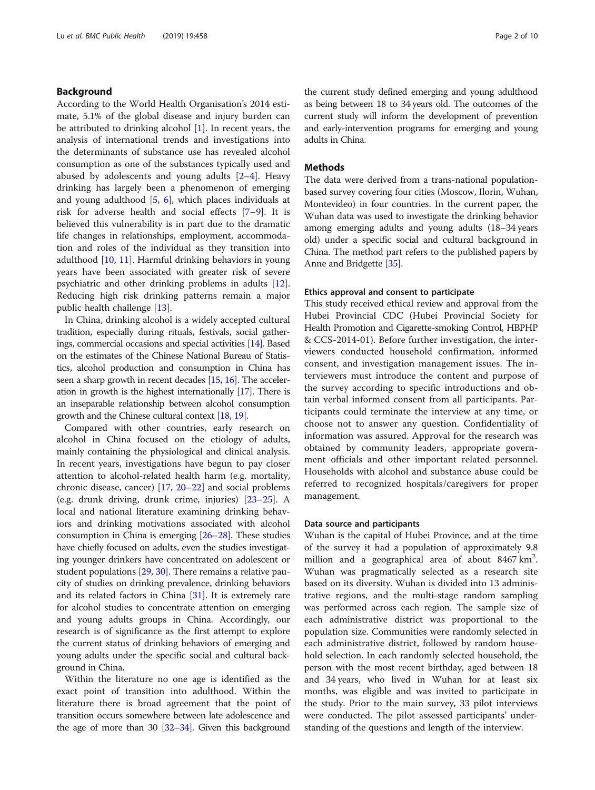# Background

According to the World Health Organisation's 2014 estimate, 5.1% of the global disease and injury burden can be attributed to drinking alcohol [[1](#page-7-0)]. In recent years, the analysis of international trends and investigations into the determinants of substance use has revealed alcohol consumption as one of the substances typically used and abused by adolescents and young adults [\[2](#page-7-0)–[4](#page-7-0)]. Heavy drinking has largely been a phenomenon of emerging and young adulthood [[5,](#page-7-0) [6\]](#page-8-0), which places individuals at risk for adverse health and social effects [\[7](#page-8-0)–[9](#page-8-0)]. It is believed this vulnerability is in part due to the dramatic life changes in relationships, employment, accommodation and roles of the individual as they transition into adulthood [\[10](#page-8-0), [11](#page-8-0)]. Harmful drinking behaviors in young years have been associated with greater risk of severe psychiatric and other drinking problems in adults [\[12](#page-8-0)]. Reducing high risk drinking patterns remain a major public health challenge [\[13\]](#page-8-0).

In China, drinking alcohol is a widely accepted cultural tradition, especially during rituals, festivals, social gatherings, commercial occasions and special activities [[14\]](#page-8-0). Based on the estimates of the Chinese National Bureau of Statistics, alcohol production and consumption in China has seen a sharp growth in recent decades [\[15,](#page-8-0) [16\]](#page-8-0). The acceleration in growth is the highest internationally [\[17\]](#page-8-0). There is an inseparable relationship between alcohol consumption growth and the Chinese cultural context [\[18,](#page-8-0) [19\]](#page-8-0).

Compared with other countries, early research on alcohol in China focused on the etiology of adults, mainly containing the physiological and clinical analysis. In recent years, investigations have begun to pay closer attention to alcohol-related health harm (e.g. mortality, chronic disease, cancer) [\[17,](#page-8-0) [20](#page-8-0)–[22\]](#page-8-0) and social problems (e.g. drunk driving, drunk crime, injuries) [\[23](#page-8-0)–[25\]](#page-8-0). A local and national literature examining drinking behaviors and drinking motivations associated with alcohol consumption in China is emerging [[26](#page-8-0)–[28\]](#page-8-0). These studies have chiefly focused on adults, even the studies investigating younger drinkers have concentrated on adolescent or student populations [[29](#page-8-0), [30\]](#page-8-0). There remains a relative paucity of studies on drinking prevalence, drinking behaviors and its related factors in China [[31](#page-8-0)]. It is extremely rare for alcohol studies to concentrate attention on emerging and young adults groups in China. Accordingly, our research is of significance as the first attempt to explore the current status of drinking behaviors of emerging and young adults under the specific social and cultural background in China.

Within the literature no one age is identified as the exact point of transition into adulthood. Within the literature there is broad agreement that the point of transition occurs somewhere between late adolescence and the age of more than 30  $[32-34]$  $[32-34]$  $[32-34]$  $[32-34]$ . Given this background the current study defined emerging and young adulthood as being between 18 to 34 years old. The outcomes of the current study will inform the development of prevention and early-intervention programs for emerging and young adults in China.

#### Methods

The data were derived from a trans-national populationbased survey covering four cities (Moscow, Ilorin, Wuhan, Montevideo) in four countries. In the current paper, the Wuhan data was used to investigate the drinking behavior among emerging adults and young adults (18–34 years old) under a specific social and cultural background in China. The method part refers to the published papers by Anne and Bridgette [[35](#page-8-0)].

# Ethics approval and consent to participate

This study received ethical review and approval from the Hubei Provincial CDC (Hubei Provincial Society for Health Promotion and Cigarette-smoking Control, HBPHP & CCS-2014-01). Before further investigation, the interviewers conducted household confirmation, informed consent, and investigation management issues. The interviewers must introduce the content and purpose of the survey according to specific introductions and obtain verbal informed consent from all participants. Participants could terminate the interview at any time, or choose not to answer any question. Confidentiality of information was assured. Approval for the research was obtained by community leaders, appropriate government officials and other important related personnel. Households with alcohol and substance abuse could be referred to recognized hospitals/caregivers for proper management.

#### Data source and participants

Wuhan is the capital of Hubei Province, and at the time of the survey it had a population of approximately 9.8 million and a geographical area of about 8467 km<sup>2</sup>. Wuhan was pragmatically selected as a research site based on its diversity. Wuhan is divided into 13 administrative regions, and the multi-stage random sampling was performed across each region. The sample size of each administrative district was proportional to the population size. Communities were randomly selected in each administrative district, followed by random household selection. In each randomly selected household, the person with the most recent birthday, aged between 18 and 34 years, who lived in Wuhan for at least six months, was eligible and was invited to participate in the study. Prior to the main survey, 33 pilot interviews were conducted. The pilot assessed participants' understanding of the questions and length of the interview.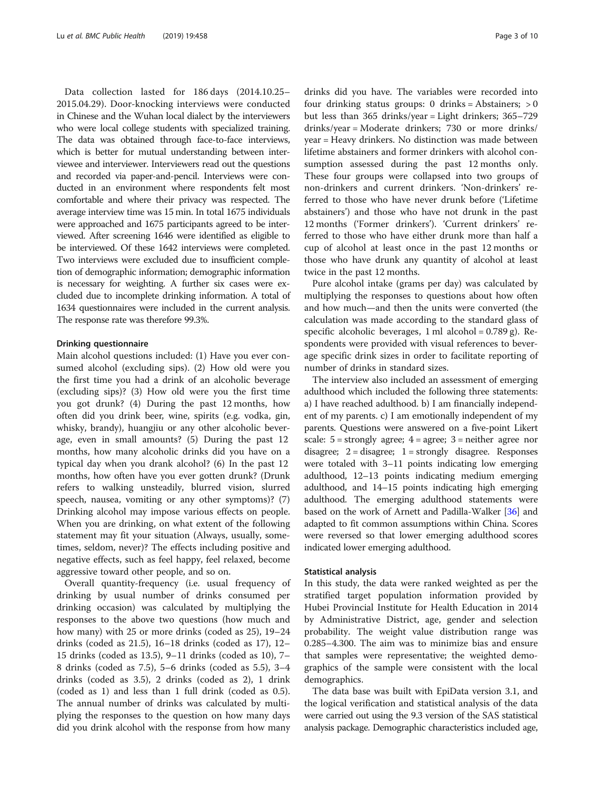Data collection lasted for 186 days (2014.10.25– 2015.04.29). Door-knocking interviews were conducted in Chinese and the Wuhan local dialect by the interviewers who were local college students with specialized training. The data was obtained through face-to-face interviews, which is better for mutual understanding between interviewee and interviewer. Interviewers read out the questions and recorded via paper-and-pencil. Interviews were conducted in an environment where respondents felt most comfortable and where their privacy was respected. The average interview time was 15 min. In total 1675 individuals were approached and 1675 participants agreed to be interviewed. After screening 1646 were identified as eligible to be interviewed. Of these 1642 interviews were completed. Two interviews were excluded due to insufficient completion of demographic information; demographic information is necessary for weighting. A further six cases were excluded due to incomplete drinking information. A total of 1634 questionnaires were included in the current analysis. The response rate was therefore 99.3%.

#### Drinking questionnaire

Main alcohol questions included: (1) Have you ever consumed alcohol (excluding sips). (2) How old were you the first time you had a drink of an alcoholic beverage (excluding sips)? (3) How old were you the first time you got drunk? (4) During the past 12 months, how often did you drink beer, wine, spirits (e.g. vodka, gin, whisky, brandy), huangjiu or any other alcoholic beverage, even in small amounts? (5) During the past 12 months, how many alcoholic drinks did you have on a typical day when you drank alcohol? (6) In the past 12 months, how often have you ever gotten drunk? (Drunk refers to walking unsteadily, blurred vision, slurred speech, nausea, vomiting or any other symptoms)? (7) Drinking alcohol may impose various effects on people. When you are drinking, on what extent of the following statement may fit your situation (Always, usually, sometimes, seldom, never)? The effects including positive and negative effects, such as feel happy, feel relaxed, become aggressive toward other people, and so on.

Overall quantity-frequency (i.e. usual frequency of drinking by usual number of drinks consumed per drinking occasion) was calculated by multiplying the responses to the above two questions (how much and how many) with 25 or more drinks (coded as 25), 19–24 drinks (coded as 21.5), 16–18 drinks (coded as 17), 12– 15 drinks (coded as 13.5), 9–11 drinks (coded as 10), 7– 8 drinks (coded as 7.5), 5–6 drinks (coded as 5.5), 3–4 drinks (coded as 3.5), 2 drinks (coded as 2), 1 drink (coded as 1) and less than 1 full drink (coded as 0.5). The annual number of drinks was calculated by multiplying the responses to the question on how many days did you drink alcohol with the response from how many

drinks did you have. The variables were recorded into four drinking status groups: 0 drinks = Abstainers; > 0 but less than 365 drinks/year = Light drinkers; 365–729 drinks/year = Moderate drinkers; 730 or more drinks/ year = Heavy drinkers. No distinction was made between lifetime abstainers and former drinkers with alcohol consumption assessed during the past 12 months only. These four groups were collapsed into two groups of non-drinkers and current drinkers. 'Non-drinkers' referred to those who have never drunk before ('Lifetime abstainers') and those who have not drunk in the past 12 months ('Former drinkers'). 'Current drinkers' referred to those who have either drunk more than half a cup of alcohol at least once in the past 12 months or those who have drunk any quantity of alcohol at least twice in the past 12 months.

Pure alcohol intake (grams per day) was calculated by multiplying the responses to questions about how often and how much—and then the units were converted (the calculation was made according to the standard glass of specific alcoholic beverages, 1 ml alcohol =  $0.789$  g). Respondents were provided with visual references to beverage specific drink sizes in order to facilitate reporting of number of drinks in standard sizes.

The interview also included an assessment of emerging adulthood which included the following three statements: a) I have reached adulthood. b) I am financially independent of my parents. c) I am emotionally independent of my parents. Questions were answered on a five-point Likert scale:  $5 =$  strongly agree;  $4 =$  agree;  $3 =$  neither agree nor disagree;  $2 =$  disagree;  $1 =$  strongly disagree. Responses were totaled with 3–11 points indicating low emerging adulthood, 12–13 points indicating medium emerging adulthood, and 14–15 points indicating high emerging adulthood. The emerging adulthood statements were based on the work of Arnett and Padilla-Walker [[36](#page-8-0)] and adapted to fit common assumptions within China. Scores were reversed so that lower emerging adulthood scores indicated lower emerging adulthood.

#### Statistical analysis

In this study, the data were ranked weighted as per the stratified target population information provided by Hubei Provincial Institute for Health Education in 2014 by Administrative District, age, gender and selection probability. The weight value distribution range was 0.285–4.300. The aim was to minimize bias and ensure that samples were representative; the weighted demographics of the sample were consistent with the local demographics.

The data base was built with EpiData version 3.1, and the logical verification and statistical analysis of the data were carried out using the 9.3 version of the SAS statistical analysis package. Demographic characteristics included age,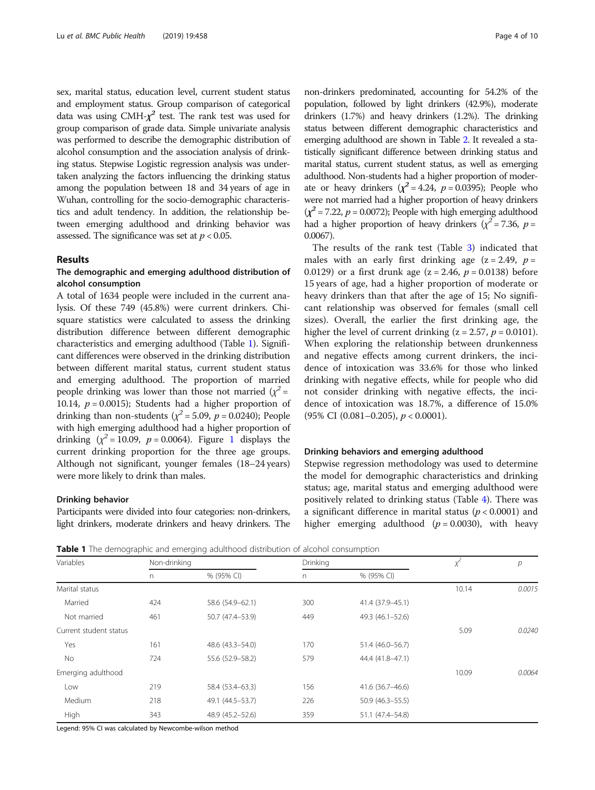sex, marital status, education level, current student status and employment status. Group comparison of categorical data was using CMH- $\chi^2$  test. The rank test was used for group comparison of grade data. Simple univariate analysis was performed to describe the demographic distribution of alcohol consumption and the association analysis of drinking status. Stepwise Logistic regression analysis was undertaken analyzing the factors influencing the drinking status among the population between 18 and 34 years of age in Wuhan, controlling for the socio-demographic characteristics and adult tendency. In addition, the relationship between emerging adulthood and drinking behavior was assessed. The significance was set at  $p < 0.05$ .

### Results

# The demographic and emerging adulthood distribution of alcohol consumption

A total of 1634 people were included in the current analysis. Of these 749 (45.8%) were current drinkers. Chisquare statistics were calculated to assess the drinking distribution difference between different demographic characteristics and emerging adulthood (Table 1). Significant differences were observed in the drinking distribution between different marital status, current student status and emerging adulthood. The proportion of married people drinking was lower than those not married  $(\chi^2 =$ 10.14,  $p = 0.0015$ ; Students had a higher proportion of drinking than non-students ( $\chi^2$  = 5.09, p = 0.0240); People with high emerging adulthood had a higher proportion of drinking  $(\chi^2 = 10.09, p = 0.0064)$  $(\chi^2 = 10.09, p = 0.0064)$  $(\chi^2 = 10.09, p = 0.0064)$ . Figure 1 displays the current drinking proportion for the three age groups. Although not significant, younger females (18–24 years) were more likely to drink than males.

#### Drinking behavior

Participants were divided into four categories: non-drinkers, light drinkers, moderate drinkers and heavy drinkers. The

non-drinkers predominated, accounting for 54.2% of the population, followed by light drinkers (42.9%), moderate drinkers (1.7%) and heavy drinkers (1.2%). The drinking status between different demographic characteristics and emerging adulthood are shown in Table [2](#page-4-0). It revealed a statistically significant difference between drinking status and marital status, current student status, as well as emerging adulthood. Non-students had a higher proportion of moderate or heavy drinkers  $(\chi^2 = 4.24, p = 0.0395)$ ; People who were not married had a higher proportion of heavy drinkers  $(\chi^2 = 7.22, p = 0.0072)$ ; People with high emerging adulthood had a higher proportion of heavy drinkers ( $\chi^2$  = 7.36, p = 0.0067).

The results of the rank test (Table [3\)](#page-5-0) indicated that males with an early first drinking age  $(z = 2.49, p =$ 0.0129) or a first drunk age ( $z = 2.46$ ,  $p = 0.0138$ ) before 15 years of age, had a higher proportion of moderate or heavy drinkers than that after the age of 15; No significant relationship was observed for females (small cell sizes). Overall, the earlier the first drinking age, the higher the level of current drinking  $(z = 2.57, p = 0.0101)$ . When exploring the relationship between drunkenness and negative effects among current drinkers, the incidence of intoxication was 33.6% for those who linked drinking with negative effects, while for people who did not consider drinking with negative effects, the incidence of intoxication was 18.7%, a difference of 15.0%  $(95\% \text{ CI } (0.081 - 0.205), p < 0.0001).$ 

#### Drinking behaviors and emerging adulthood

Stepwise regression methodology was used to determine the model for demographic characteristics and drinking status; age, marital status and emerging adulthood were positively related to drinking status (Table [4](#page-5-0)). There was a significant difference in marital status ( $p < 0.0001$ ) and higher emerging adulthood ( $p = 0.0030$ ), with heavy

Table 1 The demographic and emerging adulthood distribution of alcohol consumption

| Variables              |          | Non-drinking       |     |                     | $x^2$ | р      |
|------------------------|----------|--------------------|-----|---------------------|-------|--------|
|                        | $\Gamma$ | % (95% CI)         | n   | % (95% CI)          |       |        |
| Marital status         |          |                    |     |                     | 10.14 | 0.0015 |
| Married                | 424      | 58.6 (54.9-62.1)   | 300 | 41.4 (37.9-45.1)    |       |        |
| Not married            | 461      | 50.7 (47.4-53.9)   | 449 | 49.3 (46.1-52.6)    |       |        |
| Current student status |          |                    |     |                     | 5.09  | 0.0240 |
| Yes                    | 161      | 48.6 (43.3-54.0)   | 170 | 51.4 (46.0-56.7)    |       |        |
| No.                    | 724      | 55.6 (52.9 - 58.2) | 579 | 44.4 (41.8-47.1)    |       |        |
| Emerging adulthood     |          |                    |     |                     | 10.09 | 0.0064 |
| Low                    | 219      | 58.4 (53.4–63.3)   | 156 | 41.6 (36.7-46.6)    |       |        |
| Medium                 | 218      | 49.1 (44.5-53.7)   | 226 | $50.9(46.3 - 55.5)$ |       |        |
| High                   | 343      | 48.9 (45.2-52.6)   | 359 | 51.1 (47.4-54.8)    |       |        |

Legend: 95% CI was calculated by Newcombe-wilson method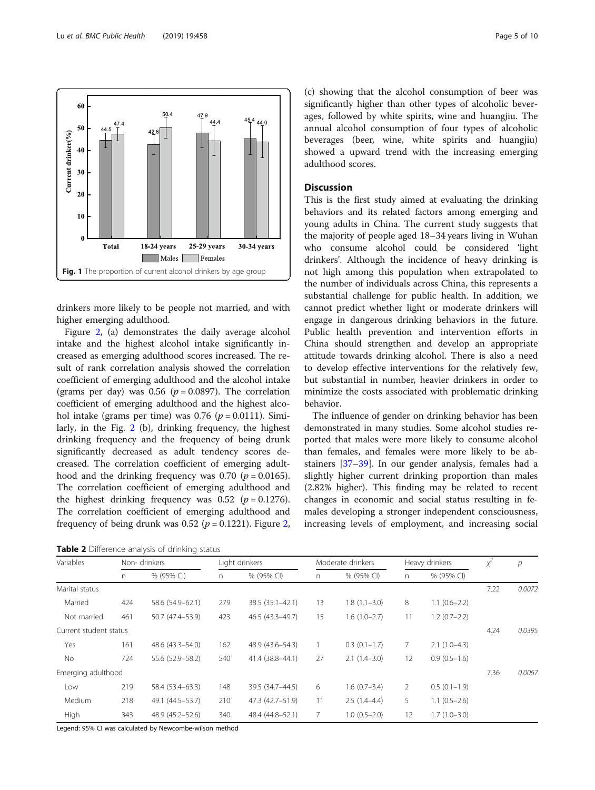<span id="page-4-0"></span>

drinkers more likely to be people not married, and with higher emerging adulthood.

Figure [2](#page-6-0), (a) demonstrates the daily average alcohol intake and the highest alcohol intake significantly increased as emerging adulthood scores increased. The result of rank correlation analysis showed the correlation coefficient of emerging adulthood and the alcohol intake (grams per day) was 0.56 ( $p = 0.0897$ ). The correlation coefficient of emerging adulthood and the highest alcohol intake (grams per time) was  $0.76$  ( $p = 0.0111$ ). Similarly, in the Fig. [2](#page-6-0) (b), drinking frequency, the highest drinking frequency and the frequency of being drunk significantly decreased as adult tendency scores decreased. The correlation coefficient of emerging adulthood and the drinking frequency was 0.70 ( $p = 0.0165$ ). The correlation coefficient of emerging adulthood and the highest drinking frequency was 0.52 ( $p = 0.1276$ ). The correlation coefficient of emerging adulthood and frequency of being drunk was 0.5[2](#page-6-0) ( $p = 0.1221$ ). Figure 2,

Table 2 Difference analysis of drinking status

(c) showing that the alcohol consumption of beer was significantly higher than other types of alcoholic beverages, followed by white spirits, wine and huangjiu. The annual alcohol consumption of four types of alcoholic beverages (beer, wine, white spirits and huangjiu) showed a upward trend with the increasing emerging adulthood scores.

# Discussion

This is the first study aimed at evaluating the drinking behaviors and its related factors among emerging and young adults in China. The current study suggests that the majority of people aged 18–34 years living in Wuhan who consume alcohol could be considered 'light drinkers'. Although the incidence of heavy drinking is not high among this population when extrapolated to the number of individuals across China, this represents a substantial challenge for public health. In addition, we cannot predict whether light or moderate drinkers will engage in dangerous drinking behaviors in the future. Public health prevention and intervention efforts in China should strengthen and develop an appropriate attitude towards drinking alcohol. There is also a need to develop effective interventions for the relatively few, but substantial in number, heavier drinkers in order to minimize the costs associated with problematic drinking behavior.

The influence of gender on drinking behavior has been demonstrated in many studies. Some alcohol studies reported that males were more likely to consume alcohol than females, and females were more likely to be abstainers [\[37](#page-8-0)–[39\]](#page-8-0). In our gender analysis, females had a slightly higher current drinking proportion than males (2.82% higher). This finding may be related to recent changes in economic and social status resulting in females developing a stronger independent consciousness, increasing levels of employment, and increasing social

| Variables              |     | Non-drinkers     |     | Light drinkers     |    | Moderate drinkers |    | Heavy drinkers |      | $\overline{p}$ |
|------------------------|-----|------------------|-----|--------------------|----|-------------------|----|----------------|------|----------------|
|                        | n.  | % (95% CI)       | n.  | % (95% CI)         | n  | % (95% CI)        | n. | % (95% CI)     |      |                |
| Marital status         |     |                  |     |                    |    |                   |    |                | 7.22 | 0.0072         |
| Married                | 424 | 58.6 (54.9-62.1) | 279 | 38.5 (35.1-42.1)   | 13 | $1.8(1.1 - 3.0)$  | 8  | $1.1(0.6-2.2)$ |      |                |
| Not married            | 461 | 50.7 (47.4-53.9) | 423 | 46.5 (43.3-49.7)   | 15 | $1.6(1.0-2.7)$    | 11 | $1.2(0.7-2.2)$ |      |                |
| Current student status |     |                  |     |                    |    |                   |    |                | 4.24 | 0.0395         |
| Yes                    | 161 | 48.6 (43.3-54.0) | 162 | 48.9 (43.6 - 54.3) |    | $0.3(0.1-1.7)$    | 7  | $2.1(1.0-4.3)$ |      |                |
| No                     | 724 | 55.6 (52.9-58.2) | 540 | 41.4 (38.8-44.1)   | 27 | $2.1(1.4-3.0)$    | 12 | $0.9(0.5-1.6)$ |      |                |
| Emerging adulthood     |     |                  |     |                    |    |                   |    |                | 7.36 | 0.0067         |
| Low                    | 219 | 58.4 (53.4–63.3) | 148 | 39.5 (34.7-44.5)   | 6  | $1.6(0.7-3.4)$    | 2  | $0.5(0.1-1.9)$ |      |                |
| Medium                 | 218 | 49.1 (44.5-53.7) | 210 | 47.3 (42.7-51.9)   | 11 | $2.5(1.4-4.4)$    | 5  | $1.1(0.5-2.6)$ |      |                |
| High                   | 343 | 48.9 (45.2-52.6) | 340 | 48.4 (44.8–52.1)   |    | $1.0(0.5-2.0)$    | 12 | $1.7(1.0-3.0)$ |      |                |

Legend: 95% CI was calculated by Newcombe-wilson method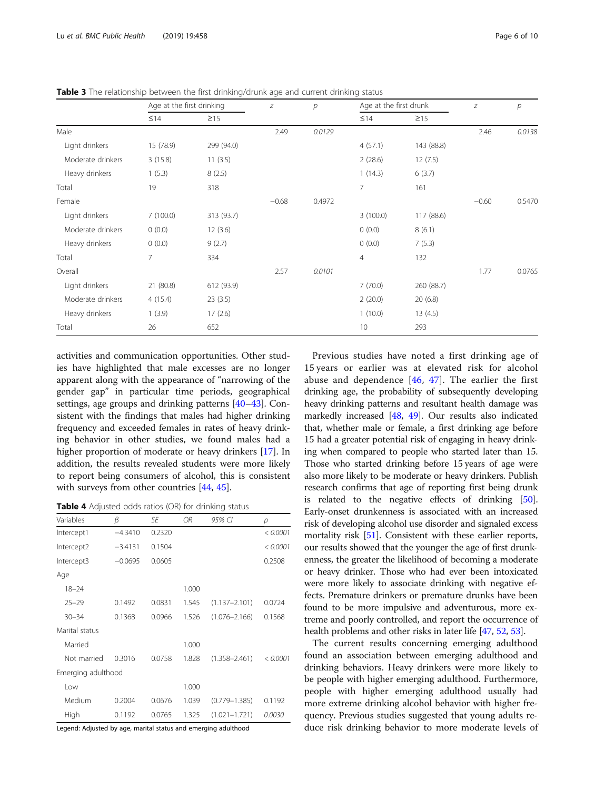|                   | Age at the first drinking |            | $\boldsymbol{Z}$ | $\mathcal{P}$ | Age at the first drunk |            | Ζ       | р      |
|-------------------|---------------------------|------------|------------------|---------------|------------------------|------------|---------|--------|
|                   | $\leq$ 14                 | $\geq$ 15  |                  |               | $\leq$ 14              | $\geq$ 15  |         |        |
| Male              |                           |            | 2.49             | 0.0129        |                        |            | 2.46    | 0.0138 |
| Light drinkers    | 15 (78.9)                 | 299 (94.0) |                  |               | 4(57.1)                | 143 (88.8) |         |        |
| Moderate drinkers | 3(15.8)                   | 11(3.5)    |                  |               | 2(28.6)                | 12(7.5)    |         |        |
| Heavy drinkers    | 1(5.3)                    | 8(2.5)     |                  |               | 1(14.3)                | 6(3.7)     |         |        |
| Total             | 19                        | 318        |                  |               | $\overline{7}$         | 161        |         |        |
| Female            |                           |            | $-0.68$          | 0.4972        |                        |            | $-0.60$ | 0.5470 |
| Light drinkers    | 7(100.0)                  | 313 (93.7) |                  |               | 3(100.0)               | 117 (88.6) |         |        |
| Moderate drinkers | 0(0.0)                    | 12(3.6)    |                  |               | 0(0.0)                 | 8(6.1)     |         |        |
| Heavy drinkers    | 0(0.0)                    | 9(2.7)     |                  |               | 0(0.0)                 | 7(5.3)     |         |        |
| Total             | $\overline{7}$            | 334        |                  |               | $\overline{4}$         | 132        |         |        |
| Overall           |                           |            | 2.57             | 0.0101        |                        |            | 1.77    | 0.0765 |
| Light drinkers    | 21 (80.8)                 | 612 (93.9) |                  |               | 7(70.0)                | 260 (88.7) |         |        |
| Moderate drinkers | 4(15.4)                   | 23(3.5)    |                  |               | 2(20.0)                | 20(6.8)    |         |        |
| Heavy drinkers    | 1(3.9)                    | 17(2.6)    |                  |               | 1(10.0)                | 13(4.5)    |         |        |
| Total             | 26                        | 652        |                  |               | 10                     | 293        |         |        |

<span id="page-5-0"></span>Table 3 The relationship between the first drinking/drunk age and current drinking status

activities and communication opportunities. Other studies have highlighted that male excesses are no longer apparent along with the appearance of "narrowing of the gender gap" in particular time periods, geographical settings, age groups and drinking patterns [[40](#page-8-0)–[43](#page-8-0)]. Consistent with the findings that males had higher drinking frequency and exceeded females in rates of heavy drinking behavior in other studies, we found males had a higher proportion of moderate or heavy drinkers [[17](#page-8-0)]. In addition, the results revealed students were more likely to report being consumers of alcohol, this is consistent with surveys from other countries [[44,](#page-8-0) [45\]](#page-8-0).

Table 4 Adjusted odds ratios (OR) for drinking status

| Variables          | β         | SF     | OR.   | 95% CI            | р        |
|--------------------|-----------|--------|-------|-------------------|----------|
| Intercept1         | $-4.3410$ | 0.2320 |       |                   | < 0.0001 |
| Intercept2         | $-3.4131$ | 0.1504 |       |                   | < 0.0001 |
| Intercept3         | $-0.0695$ | 0.0605 |       |                   | 0.2508   |
| Age                |           |        |       |                   |          |
| $18 - 24$          |           |        | 1.000 |                   |          |
| $25 - 29$          | 01492     | 0.0831 | 1.545 | $(1.137 - 2.101)$ | 0.0724   |
| $30 - 34$          | 0.1368    | 0.0966 | 1.526 | $(1.076 - 2.166)$ | 0.1568   |
| Marital status     |           |        |       |                   |          |
| Married            |           |        | 1.000 |                   |          |
| Not married        | 0.3016    | 0.0758 | 1.828 | $(1.358 - 2.461)$ | < 0.0001 |
| Emerging adulthood |           |        |       |                   |          |
| Low                |           |        | 1.000 |                   |          |
| Medium             | 0.2004    | 0.0676 | 1.039 | $(0.779 - 1.385)$ | 0.1192   |
| High               | 0.1192    | 0.0765 | 1.325 | $(1.021 - 1.721)$ | 0.0030   |

Legend: Adjusted by age, marital status and emerging adulthood

Previous studies have noted a first drinking age of 15 years or earlier was at elevated risk for alcohol abuse and dependence  $[46, 47]$  $[46, 47]$  $[46, 47]$ . The earlier the first drinking age, the probability of subsequently developing heavy drinking patterns and resultant health damage was markedly increased [\[48](#page-8-0), [49\]](#page-8-0). Our results also indicated that, whether male or female, a first drinking age before 15 had a greater potential risk of engaging in heavy drinking when compared to people who started later than 15. Those who started drinking before 15 years of age were also more likely to be moderate or heavy drinkers. Publish research confirms that age of reporting first being drunk is related to the negative effects of drinking [[50](#page-8-0)]. Early-onset drunkenness is associated with an increased risk of developing alcohol use disorder and signaled excess mortality risk [[51\]](#page-8-0). Consistent with these earlier reports, our results showed that the younger the age of first drunkenness, the greater the likelihood of becoming a moderate or heavy drinker. Those who had ever been intoxicated were more likely to associate drinking with negative effects. Premature drinkers or premature drunks have been found to be more impulsive and adventurous, more extreme and poorly controlled, and report the occurrence of health problems and other risks in later life [[47](#page-8-0), [52,](#page-8-0) [53](#page-8-0)].

The current results concerning emerging adulthood found an association between emerging adulthood and drinking behaviors. Heavy drinkers were more likely to be people with higher emerging adulthood. Furthermore, people with higher emerging adulthood usually had more extreme drinking alcohol behavior with higher frequency. Previous studies suggested that young adults reduce risk drinking behavior to more moderate levels of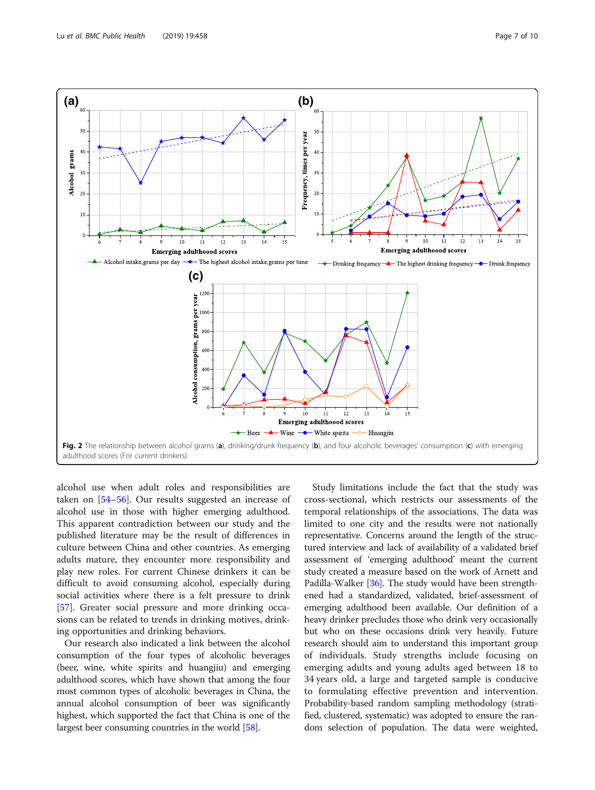<span id="page-6-0"></span>

alcohol use when adult roles and responsibilities are taken on [[54](#page-8-0)–[56\]](#page-9-0). Our results suggested an increase of alcohol use in those with higher emerging adulthood. This apparent contradiction between our study and the published literature may be the result of differences in culture between China and other countries. As emerging adults mature, they encounter more responsibility and play new roles. For current Chinese drinkers it can be difficult to avoid consuming alcohol, especially during social activities where there is a felt pressure to drink [[57\]](#page-9-0). Greater social pressure and more drinking occasions can be related to trends in drinking motives, drinking opportunities and drinking behaviors.

Our research also indicated a link between the alcohol consumption of the four types of alcoholic beverages (beer, wine, white spirits and huangjiu) and emerging adulthood scores, which have shown that among the four most common types of alcoholic beverages in China, the annual alcohol consumption of beer was significantly highest, which supported the fact that China is one of the largest beer consuming countries in the world [\[58\]](#page-9-0).

Study limitations include the fact that the study was cross-sectional, which restricts our assessments of the temporal relationships of the associations. The data was limited to one city and the results were not nationally representative. Concerns around the length of the structured interview and lack of availability of a validated brief assessment of 'emerging adulthood' meant the current study created a measure based on the work of Arnett and Padilla-Walker [\[36\]](#page-8-0). The study would have been strengthened had a standardized, validated, brief-assessment of emerging adulthood been available. Our definition of a heavy drinker precludes those who drink very occasionally but who on these occasions drink very heavily. Future research should aim to understand this important group of individuals. Study strengths include focusing on emerging adults and young adults aged between 18 to 34 years old, a large and targeted sample is conducive to formulating effective prevention and intervention. Probability-based random sampling methodology (stratified, clustered, systematic) was adopted to ensure the random selection of population. The data were weighted,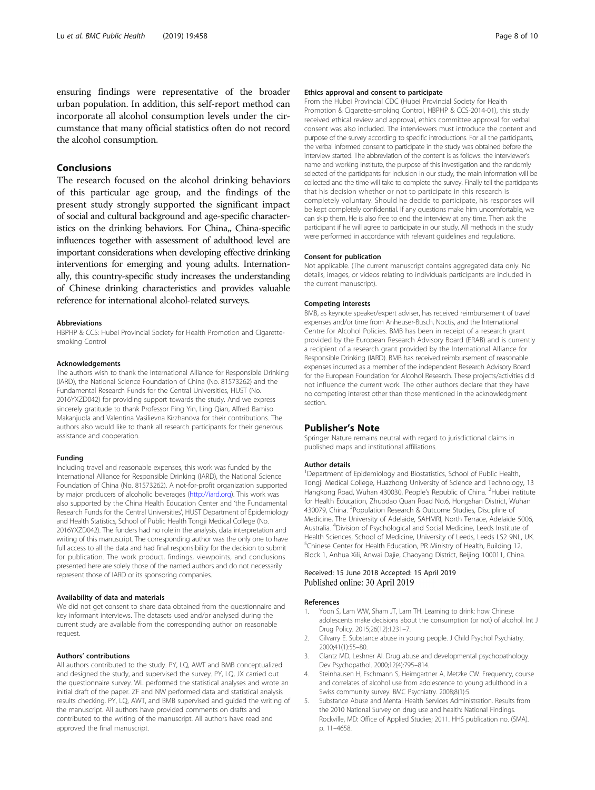<span id="page-7-0"></span>ensuring findings were representative of the broader urban population. In addition, this self-report method can incorporate all alcohol consumption levels under the circumstance that many official statistics often do not record the alcohol consumption.

# Conclusions

The research focused on the alcohol drinking behaviors of this particular age group, and the findings of the present study strongly supported the significant impact of social and cultural background and age-specific characteristics on the drinking behaviors. For China,, China-specific influences together with assessment of adulthood level are important considerations when developing effective drinking interventions for emerging and young adults. Internationally, this country-specific study increases the understanding of Chinese drinking characteristics and provides valuable reference for international alcohol-related surveys.

#### Abbreviations

HBPHP & CCS: Hubei Provincial Society for Health Promotion and Cigarettesmoking Control

#### Acknowledgements

The authors wish to thank the International Alliance for Responsible Drinking (IARD), the National Science Foundation of China (No. 81573262) and the Fundamental Research Funds for the Central Universities, HUST (No. 2016YXZD042) for providing support towards the study. And we express sincerely gratitude to thank Professor Ping Yin, Ling Qian, Alfred Bamiso Makanjuola and Valentina Vasilievna Kirzhanova for their contributions. The authors also would like to thank all research participants for their generous assistance and cooperation.

#### Funding

Including travel and reasonable expenses, this work was funded by the International Alliance for Responsible Drinking (IARD), the National Science Foundation of China (No. 81573262). A not-for-profit organization supported by major producers of alcoholic beverages ([http://iard.org\)](http://iard.org). This work was also supported by the China Health Education Center and 'the Fundamental Research Funds for the Central Universities', HUST Department of Epidemiology and Health Statistics, School of Public Health Tongji Medical College (No. 2016YXZD042). The funders had no role in the analysis, data interpretation and writing of this manuscript. The corresponding author was the only one to have full access to all the data and had final responsibility for the decision to submit for publication. The work product, findings, viewpoints, and conclusions presented here are solely those of the named authors and do not necessarily represent those of IARD or its sponsoring companies.

#### Availability of data and materials

We did not get consent to share data obtained from the questionnaire and key informant interviews. The datasets used and/or analysed during the current study are available from the corresponding author on reasonable request.

#### Authors' contributions

All authors contributed to the study. PY, LQ, AWT and BMB conceptualized and designed the study, and supervised the survey. PY, LQ, JX carried out the questionnaire survey. WL performed the statistical analyses and wrote an initial draft of the paper. ZF and NW performed data and statistical analysis results checking. PY, LQ, AWT, and BMB supervised and guided the writing of the manuscript. All authors have provided comments on drafts and contributed to the writing of the manuscript. All authors have read and approved the final manuscript.

#### Ethics approval and consent to participate

From the Hubei Provincial CDC (Hubei Provincial Society for Health Promotion & Cigarette-smoking Control, HBPHP & CCS-2014-01), this study received ethical review and approval, ethics committee approval for verbal consent was also included. The interviewers must introduce the content and purpose of the survey according to specific introductions. For all the participants, the verbal informed consent to participate in the study was obtained before the interview started. The abbreviation of the content is as follows: the interviewer's name and working institute, the purpose of this investigation and the randomly selected of the participants for inclusion in our study, the main information will be collected and the time will take to complete the survey. Finally tell the participants that his decision whether or not to participate in this research is completely voluntary. Should he decide to participate, his responses will be kept completely confidential. If any questions make him uncomfortable, we can skip them. He is also free to end the interview at any time. Then ask the participant if he will agree to participate in our study. All methods in the study were performed in accordance with relevant guidelines and regulations.

#### Consent for publication

Not applicable. (The current manuscript contains aggregated data only. No details, images, or videos relating to individuals participants are included in the current manuscript).

#### Competing interests

BMB, as keynote speaker/expert adviser, has received reimbursement of travel expenses and/or time from Anheuser-Busch, Noctis, and the International Centre for Alcohol Policies. BMB has been in receipt of a research grant provided by the European Research Advisory Board (ERAB) and is currently a recipient of a research grant provided by the International Alliance for Responsible Drinking (IARD). BMB has received reimbursement of reasonable expenses incurred as a member of the independent Research Advisory Board for the European Foundation for Alcohol Research. These projects/activities did not influence the current work. The other authors declare that they have no competing interest other than those mentioned in the acknowledgment section.

#### Publisher's Note

Springer Nature remains neutral with regard to jurisdictional claims in published maps and institutional affiliations.

#### Author details

<sup>1</sup>Department of Epidemiology and Biostatistics, School of Public Health, Tongji Medical College, Huazhong University of Science and Technology, 13 Hangkong Road, Wuhan 430030, People's Republic of China. <sup>2</sup>Hubei Institute for Health Education, Zhuodao Quan Road No.6, Hongshan District, Wuhan 430079, China. <sup>3</sup>Population Research & Outcome Studies, Discipline of Medicine, The University of Adelaide, SAHMRI, North Terrace, Adelaide 5006, Australia. <sup>4</sup> Division of Psychological and Social Medicine, Leeds Institute of Health Sciences, School of Medicine, University of Leeds, Leeds LS2 9NL, UK. <sup>5</sup>Chinese Center for Health Education, PR Ministry of Health, Building 12, Block 1, Anhua Xili, Anwai Dajie, Chaoyang District, Beijing 100011, China.

#### Received: 15 June 2018 Accepted: 15 April 2019 Published online: 30 April 2019

#### References

- 1. Yoon S, Lam WW, Sham JT, Lam TH. Learning to drink: how Chinese adolescents make decisions about the consumption (or not) of alcohol. Int J Drug Policy. 2015;26(12):1231–7.
- 2. Gilvarry E. Substance abuse in young people. J Child Psychol Psychiatry. 2000;41(1):55–80.
- 3. Glantz MD, Leshner AI. Drug abuse and developmental psychopathology. Dev Psychopathol. 2000;12(4):795–814.
- 4. Steinhausen H, Eschmann S, Heimgartner A, Metzke CW. Frequency, course and correlates of alcohol use from adolescence to young adulthood in a Swiss community survey. BMC Psychiatry. 2008;8(1):5.
- 5. Substance Abuse and Mental Health Services Administration. Results from the 2010 National Survey on drug use and health: National Findings. Rockville, MD: Office of Applied Studies; 2011. HHS publication no. (SMA). p. 11–4658.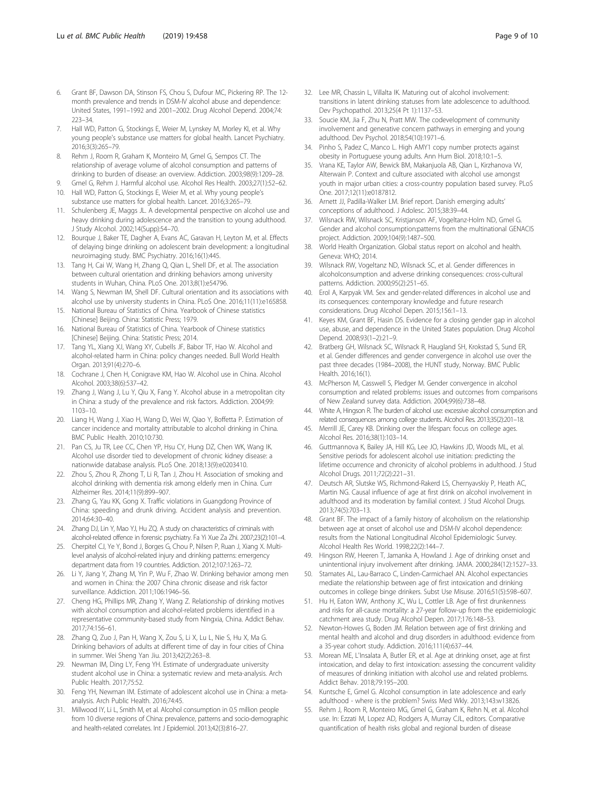- <span id="page-8-0"></span>6. Grant BF, Dawson DA, Stinson FS, Chou S, Dufour MC, Pickering RP. The 12 month prevalence and trends in DSM-IV alcohol abuse and dependence: United States, 1991–1992 and 2001–2002. Drug Alcohol Depend. 2004;74: 223–34.
- 7. Hall WD, Patton G, Stockings E, Weier M, Lynskey M, Morley KI, et al. Why young people's substance use matters for global health. Lancet Psychiatry. 2016;3(3):265–79.
- 8. Rehm J, Room R, Graham K, Monteiro M, Gmel G, Sempos CT. The relationship of average volume of alcohol consumption and patterns of drinking to burden of disease: an overview. Addiction. 2003;98(9):1209–28.
- Gmel G, Rehm J. Harmful alcohol use. Alcohol Res Health. 2003;27(1):52-62. 10. Hall WD, Patton G, Stockings E, Weier M, et al. Why young people's
- substance use matters for global health. Lancet. 2016;3:265–79.
- 11. Schulenberg JE, Maggs JL. A developmental perspective on alcohol use and heavy drinking during adolescence and the transition to young adulthood. J Study Alcohol. 2002;14(Supp):54–70.
- 12. Bourque J, Baker TE, Dagher A, Evans AC, Garavan H, Leyton M, et al. Effects of delaying binge drinking on adolescent brain development: a longitudinal neuroimaging study. BMC Psychiatry. 2016;16(1):445.
- 13. Tang H, Cai W, Wang H, Zhang Q, Qian L, Shell DF, et al. The association between cultural orientation and drinking behaviors among university students in Wuhan, China. PLoS One. 2013;8(1):e54796.
- 14. Wang S, Newman IM, Shell DF. Cultural orientation and its associations with alcohol use by university students in China. PLoS One. 2016;11(11):e165858.
- 15. National Bureau of Statistics of China. Yearbook of Chinese statistics [Chinese] Beijing. China: Statistic Press; 1979.
- 16. National Bureau of Statistics of China. Yearbook of Chinese statistics [Chinese] Beijing. China: Statistic Press; 2014.
- 17. Tang YL, Xiang XJ, Wang XY, Cubells JF, Babor TF, Hao W. Alcohol and alcohol-related harm in China: policy changes needed. Bull World Health Organ. 2013;91(4):270–6.
- 18. Cochrane J, Chen H, Conigrave KM, Hao W. Alcohol use in China. Alcohol Alcohol. 2003;38(6):537–42.
- 19. Zhang J, Wang J, Lu Y, Qiu X, Fang Y. Alcohol abuse in a metropolitan city in China: a study of the prevalence and risk factors. Addiction. 2004;99: 1103–10.
- 20. Liang H, Wang J, Xiao H, Wang D, Wei W, Qiao Y, Boffetta P. Estimation of cancer incidence and mortality attributable to alcohol drinking in China. BMC Public Health. 2010;10:730.
- 21. Pan CS, Ju TR, Lee CC, Chen YP, Hsu CY, Hung DZ, Chen WK, Wang IK. Alcohol use disorder tied to development of chronic kidney disease: a nationwide database analysis. PLoS One. 2018;13(9):e0203410.
- 22. Zhou S, Zhou R, Zhong T, Li R, Tan J, Zhou H. Association of smoking and alcohol drinking with dementia risk among elderly men in China. Curr Alzheimer Res. 2014;11(9):899–907.
- 23. Zhang G, Yau KK, Gong X. Traffic violations in Guangdong Province of China: speeding and drunk driving. Accident analysis and prevention. 2014;64:30–40.
- 24. Zhang DJ, Lin Y, Mao YJ, Hu ZQ. A study on characteristics of criminals with alcohol-related offence in forensic psychiatry. Fa Yi Xue Za Zhi. 2007;23(2):101–4.
- 25. Cherpitel CJ, Ye Y, Bond J, Borges G, Chou P, Nilsen P, Ruan J, Xiang X. Multilevel analysis of alcohol-related injury and drinking patterns: emergency department data from 19 countries. Addiction. 2012;107:1263–72.
- 26. Li Y, Jiang Y, Zhang M, Yin P, Wu F, Zhao W. Drinking behavior among men and women in China: the 2007 China chronic disease and risk factor surveillance. Addiction. 2011;106:1946–56.
- 27. Cheng HG, Phillips MR, Zhang Y, Wang Z. Relationship of drinking motives with alcohol consumption and alcohol-related problems identified in a representative community-based study from Ningxia, China. Addict Behav. 2017;74:156–61.
- 28. Zhang Q, Zuo J, Pan H, Wang X, Zou S, Li X, Lu L, Nie S, Hu X, Ma G. Drinking behaviors of adults at different time of day in four cities of China in summer. Wei Sheng Yan Jiu. 2013;42(2):263–8.
- 29. Newman IM, Ding LY, Feng YH. Estimate of undergraduate university student alcohol use in China: a systematic review and meta-analysis. Arch Public Health. 2017;75:52.
- 30. Feng YH, Newman IM. Estimate of adolescent alcohol use in China: a metaanalysis. Arch Public Health. 2016;74:45.
- 31. Millwood IY, Li L, Smith M, et al. Alcohol consumption in 0.5 million people from 10 diverse regions of China: prevalence, patterns and socio-demographic and health-related correlates. Int J Epidemiol. 2013;42(3):816-27.
- 32. Lee MR, Chassin L, Villalta IK. Maturing out of alcohol involvement: transitions in latent drinking statuses from late adolescence to adulthood. Dev Psychopathol. 2013;25(4 Pt 1):1137–53.
- 33. Soucie KM, Jia F, Zhu N, Pratt MW. The codevelopment of community involvement and generative concern pathways in emerging and young adulthood. Dev Psychol. 2018;54(10):1971–6.
- 34. Pinho S, Padez C, Manco L. High AMY1 copy number protects against obesity in Portuguese young adults. Ann Hum Biol. 2018;10:1–5.
- 35. Vrana KE, Taylor AW, Bewick BM, Makanjuola AB, Qian L, Kirzhanova VV, Alterwain P. Context and culture associated with alcohol use amongst youth in major urban cities: a cross-country population based survey. PLoS One. 2017;12(11):e0187812.
- 36. Arnett JJ, Padilla-Walker LM. Brief report. Danish emerging adults' conceptions of adulthood. J Adolesc. 2015;38:39–44.
- 37. Wilsnack RW, Wilsnack SC, Kristjanson AF, Vogeltanz-Holm ND, Gmel G. Gender and alcohol consumption:patterns from the multinational GENACIS project. Addiction. 2009;104(9):1487–500.
- 38. World Health Organization. Global status report on alcohol and health. Geneva: WHO; 2014.
- 39. Wilsnack RW, Vogeltanz ND, Wilsnack SC, et al. Gender differences in alcoholconsumption and adverse drinking consequences: cross-cultural patterns. Addiction. 2000;95(2):251–65.
- 40. Erol A, Karpyak VM. Sex and gender-related differences in alcohol use and its consequences: contemporary knowledge and future research considerations. Drug Alcohol Depen. 2015;156:1–13.
- 41. Keyes KM, Grant BF, Hasin DS. Evidence for a closing gender gap in alcohol use, abuse, and dependence in the United States population. Drug Alcohol Depend. 2008;93(1–2):21–9.
- 42. Bratberg GH, Wilsnack SC, Wilsnack R, Haugland SH, Krokstad S, Sund ER, et al. Gender differences and gender convergence in alcohol use over the past three decades (1984–2008), the HUNT study, Norway. BMC Public Health. 2016;16(1).
- 43. McPherson M, Casswell S, Pledger M. Gender convergence in alcohol consumption and related problems: issues and outcomes from comparisons of New Zealand survey data. Addiction. 2004;99(6):738–48.
- 44. White A, Hingson R. The burden of alcohol use: excessive alcohol consumption and related consequences among college students. Alcohol Res. 2013;35(2):201–18.
- Merrill JE, Carey KB. Drinking over the lifespan: focus on college ages. Alcohol Res. 2016;38(1):103–14.
- 46. Guttmannova K, Bailey JA, Hill KG, Lee JO, Hawkins JD, Woods ML, et al. Sensitive periods for adolescent alcohol use initiation: predicting the lifetime occurrence and chronicity of alcohol problems in adulthood. J Stud Alcohol Drugs. 2011;72(2):221–31.
- 47. Deutsch AR, Slutske WS, Richmond-Rakerd LS, Chernyavskiy P, Heath AC, Martin NG. Causal influence of age at first drink on alcohol involvement in adulthood and its moderation by familial context. J Stud Alcohol Drugs. 2013;74(5):703–13.
- 48. Grant BF. The impact of a family history of alcoholism on the relationship between age at onset of alcohol use and DSM-IV alcohol dependence: results from the National Longitudinal Alcohol Epidemiologic Survey. Alcohol Health Res World. 1998;22(2):144–7.
- 49. Hingson RW, Heeren T, Jamanka A, Howland J. Age of drinking onset and unintentional injury involvement after drinking. JAMA. 2000;284(12):1527–33.
- 50. Stamates AL, Lau-Barraco C, Linden-Carmichael AN. Alcohol expectancies mediate the relationship between age of first intoxication and drinking outcomes in college binge drinkers. Subst Use Misuse. 2016;51(5):598–607.
- 51. Hu H, Eaton WW, Anthony JC, Wu L, Cottler LB. Age of first drunkenness and risks for all-cause mortality: a 27-year follow-up from the epidemiologic catchment area study. Drug Alcohol Depen. 2017;176:148–53.
- 52. Newton-Howes G, Boden JM. Relation between age of first drinking and mental health and alcohol and drug disorders in adulthood: evidence from a 35-year cohort study. Addiction. 2016;111(4):637–44.
- 53. Morean ME, L'Insalata A, Butler ER, et al. Age at drinking onset, age at first intoxication, and delay to first intoxication: assessing the concurrent validity of measures of drinking initiation with alcohol use and related problems. Addict Behav. 2018;79:195–200.
- 54. Kuntsche E, Gmel G. Alcohol consumption in late adolescence and early adulthood - where is the problem? Swiss Med Wkly. 2013;143:w13826.
- 55. Rehm J, Room R, Monteiro MG, Gmel G, Graham K, Rehn N, et al. Alcohol use. In: Ezzati M, Lopez AD, Rodgers A, Murray CJL, editors. Comparative quantification of health risks global and regional burden of disease